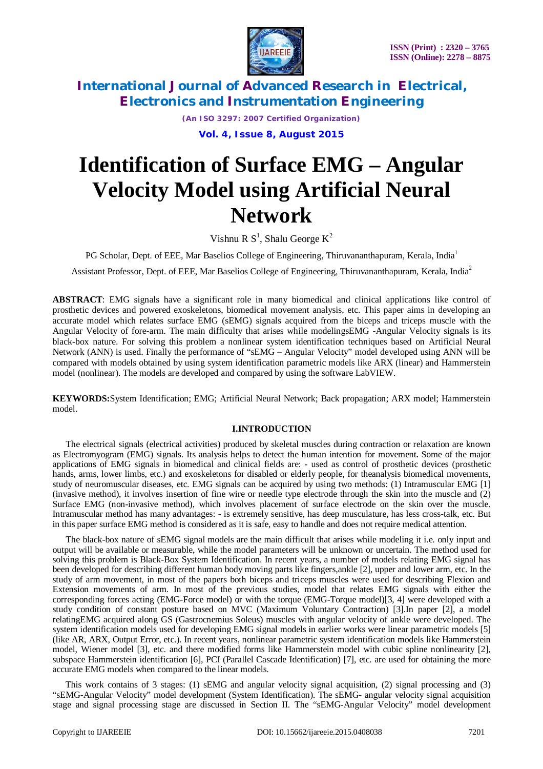

*(An ISO 3297: 2007 Certified Organization)*

**Vol. 4, Issue 8, August 2015**

# **Identification of Surface EMG – Angular Velocity Model using Artificial Neural Network**

Vishnu R  $S^1$ , Shalu George  $K^2$ 

PG Scholar, Dept. of EEE, Mar Baselios College of Engineering, Thiruvananthapuram, Kerala, India<sup>1</sup>

Assistant Professor, Dept. of EEE, Mar Baselios College of Engineering*,* Thiruvananthapuram, Kerala, India<sup>2</sup>

**ABSTRACT**: EMG signals have a significant role in many biomedical and clinical applications like control of prosthetic devices and powered exoskeletons, biomedical movement analysis, etc. This paper aims in developing an accurate model which relates surface EMG (sEMG) signals acquired from the biceps and triceps muscle with the Angular Velocity of fore-arm. The main difficulty that arises while modelingsEMG -Angular Velocity signals is its black-box nature. For solving this problem a nonlinear system identification techniques based on Artificial Neural Network (ANN) is used. Finally the performance of "sEMG – Angular Velocity" model developed using ANN will be compared with models obtained by using system identification parametric models like ARX (linear) and Hammerstein model (nonlinear). The models are developed and compared by using the software LabVIEW.

**KEYWORDS:**System Identification; EMG; Artificial Neural Network; Back propagation; ARX model; Hammerstein model.

### **I.INTRODUCTION**

The electrical signals (electrical activities) produced by skeletal muscles during contraction or relaxation are known as Electromyogram (EMG) signals. Its analysis helps to detect the human intention for movement**.** Some of the major applications of EMG signals in biomedical and clinical fields are: - used as control of prosthetic devices (prosthetic hands, arms, lower limbs, etc.) and exoskeletons for disabled or elderly people, for theanalysis biomedical movements, study of neuromuscular diseases, etc. EMG signals can be acquired by using two methods: (1) Intramuscular EMG [1] (invasive method), it involves insertion of fine wire or needle type electrode through the skin into the muscle and (2) Surface EMG (non-invasive method), which involves placement of surface electrode on the skin over the muscle. Intramuscular method has many advantages: - is extremely sensitive, has deep musculature, has less cross-talk, etc. But in this paper surface EMG method is considered as it is safe, easy to handle and does not require medical attention.

The black-box nature of sEMG signal models are the main difficult that arises while modeling it i.e. only input and output will be available or measurable, while the model parameters will be unknown or uncertain. The method used for solving this problem is Black-Box System Identification. In recent years, a number of models relating EMG signal has been developed for describing different human body moving parts like fingers,ankle [2], upper and lower arm, etc. In the study of arm movement, in most of the papers both biceps and triceps muscles were used for describing Flexion and Extension movements of arm. In most of the previous studies, model that relates EMG signals with either the corresponding forces acting (EMG-Force model) or with the torque (EMG-Torque model)[3, 4] were developed with a study condition of constant posture based on MVC (Maximum Voluntary Contraction) [3].In paper [2], a model relatingEMG acquired along GS (Gastrocnemius Soleus) muscles with angular velocity of ankle were developed. The system identification models used for developing EMG signal models in earlier works were linear parametric models [5] (like AR, ARX, Output Error, etc.). In recent years, nonlinear parametric system identification models like Hammerstein model, Wiener model [3], etc. and there modified forms like Hammerstein model with cubic spline nonlinearity [2], subspace Hammerstein identification [6], PCI (Parallel Cascade Identification) [7], etc. are used for obtaining the more accurate EMG models when compared to the linear models.

This work contains of 3 stages: (1) sEMG and angular velocity signal acquisition, (2) signal processing and (3) "sEMG-Angular Velocity" model development (System Identification). The sEMG- angular velocity signal acquisition stage and signal processing stage are discussed in Section II. The "sEMG-Angular Velocity" model development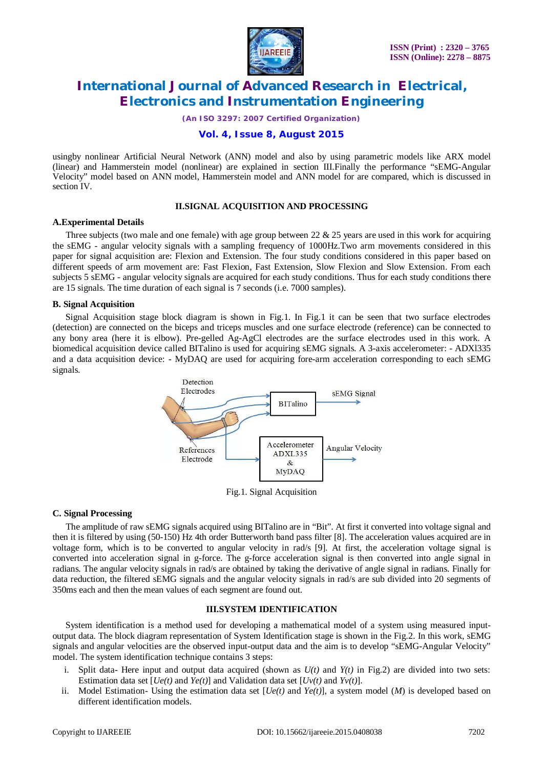

*(An ISO 3297: 2007 Certified Organization)*

#### **Vol. 4, Issue 8, August 2015**

usingby nonlinear Artificial Neural Network (ANN) model and also by using parametric models like ARX model (linear) and Hammerstein model (nonlinear) are explained in section III.Finally the performance "sEMG-Angular Velocity" model based on ANN model, Hammerstein model and ANN model for are compared, which is discussed in section IV.

#### **II.SIGNAL ACQUISITION AND PROCESSING**

#### **A.Experimental Details**

Three subjects (two male and one female) with age group between 22  $& 25$  years are used in this work for acquiring the sEMG - angular velocity signals with a sampling frequency of 1000Hz.Two arm movements considered in this paper for signal acquisition are: Flexion and Extension. The four study conditions considered in this paper based on different speeds of arm movement are: Fast Flexion, Fast Extension, Slow Flexion and Slow Extension. From each subjects 5 sEMG - angular velocity signals are acquired for each study conditions. Thus for each study conditions there are 15 signals. The time duration of each signal is 7 seconds (i.e. 7000 samples).

#### **B. Signal Acquisition**

Signal Acquisition stage block diagram is shown in Fig.1. In Fig.1 it can be seen that two surface electrodes (detection) are connected on the biceps and triceps muscles and one surface electrode (reference) can be connected to any bony area (here it is elbow). Pre-gelled Ag-AgCl electrodes are the surface electrodes used in this work. A biomedical acquisition device called BITalino is used for acquiring sEMG signals. A 3-axis accelerometer: - ADXl335 and a data acquisition device: - MyDAQ are used for acquiring fore-arm acceleration corresponding to each sEMG signals.



Fig.1. Signal Acquisition

#### **C. Signal Processing**

The amplitude of raw sEMG signals acquired using BITalino are in "Bit". At first it converted into voltage signal and then it is filtered by using (50-150) Hz 4th order Butterworth band pass filter [8]. The acceleration values acquired are in voltage form, which is to be converted to angular velocity in rad/s [9]. At first, the acceleration voltage signal is converted into acceleration signal in g-force. The g-force acceleration signal is then converted into angle signal in radians. The angular velocity signals in rad/s are obtained by taking the derivative of angle signal in radians. Finally for data reduction, the filtered sEMG signals and the angular velocity signals in rad/s are sub divided into 20 segments of 350ms each and then the mean values of each segment are found out.

#### **III.SYSTEM IDENTIFICATION**

System identification is a method used for developing a mathematical model of a system using measured inputoutput data. The block diagram representation of System Identification stage is shown in the Fig.2. In this work, sEMG signals and angular velocities are the observed input-output data and the aim is to develop "sEMG-Angular Velocity" model. The system identification technique contains 3 steps:

- i. Split data- Here input and output data acquired (shown as  $U(t)$  and  $Y(t)$  in Fig.2) are divided into two sets: Estimation data set  $[Ue(t)$  and  $Ye(t)]$  and Validation data set  $[Uv(t)]$  and  $Yv(t)]$ .
- ii. Model Estimation- Using the estimation data set  $[Ue(t)]$  and  $Ye(t)$ ], a system model (*M*) is developed based on different identification models.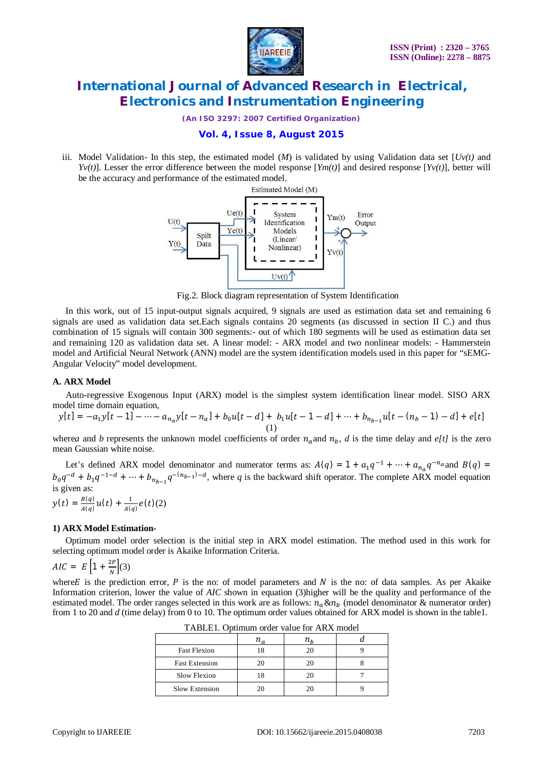

*(An ISO 3297: 2007 Certified Organization)*

### **Vol. 4, Issue 8, August 2015**

iii. Model Validation- In this step, the estimated model  $(M)$  is validated by using Validation data set  $[Uv(t)]$  and *Yv(t)*]. Lesser the error difference between the model response  $[Ym(t)]$  and desired response  $[Yv(t)]$ , better will be the accuracy and performance of the estimated model.



Fig.2. Block diagram representation of System Identification

In this work, out of 15 input-output signals acquired, 9 signals are used as estimation data set and remaining 6 signals are used as validation data set.Each signals contains 20 segments (as discussed in section II C.) and thus combination of 15 signals will contain 300 segments:- out of which 180 segments will be used as estimation data set and remaining 120 as validation data set. A linear model: - ARX model and two nonlinear models: - Hammerstein model and Artificial Neural Network (ANN) model are the system identification models used in this paper for "sEMG-Angular Velocity" model development.

#### **A. ARX Model**

Auto-regressive Exogenous Input (ARX) model is the simplest system identification linear model. SISO ARX model time domain equation,

$$
y[t] = -a_1y[t-1] - \dots - a_{n_a}y[t-n_a] + b_0u[t-d] + b_1u[t-1-d] + \dots + b_{n_{b-1}}u[t-(n_b-1)-d] + e[t]
$$
\n(1)

where*a* and *b* represents the unknown model coefficients of order  $n_a$  and  $n_b$ , *d* is the time delay and *e[t]* is the zero mean Gaussian white noise.

Let's defined ARX model denominator and numerator terms as:  $A(q) = 1 + a_1 q^{-1} + \cdots + a_{n_a} q^{-n_a}$  and  $B(q) =$  $b_0q^{-d} + b_1q^{-1-d} + \cdots + b_{n_{b-1}}q^{-(n_{b-1})-d}$ , where q is the backward shift operator. The complete ARX model equation is given as:

$$
y(t) = \frac{B(q)}{A(q)}u(t) + \frac{1}{A(q)}e(t)(2)
$$

#### **1) ARX Model Estimation-**

Optimum model order selection is the initial step in ARX model estimation. The method used in this work for selecting optimum model order is Akaike Information Criteria.

$$
AIC = E\left[1 + \frac{2P}{N}\right](3)
$$

where E is the prediction error,  $P$  is the no: of model parameters and  $N$  is the no: of data samples. As per Akaike Information criterion, lower the value of *AIC* shown in equation (3)higher will be the quality and performance of the estimated model. The order ranges selected in this work are as follows:  $n_a \& n_b$  (model denominator  $\&$  numerator order) from 1 to 20 and *d* (time delay) from 0 to 10. The optimum order values obtained for ARX model is shown in the table1.

| <b>Fast Flexion</b>   |    | 20 |  |  |  |
|-----------------------|----|----|--|--|--|
| <b>Fast Extension</b> | 20 | 20 |  |  |  |
| Slow Flexion          |    | 20 |  |  |  |
| Slow Extension        | 20 | 20 |  |  |  |

TABLE1. Optimum order value for ARX model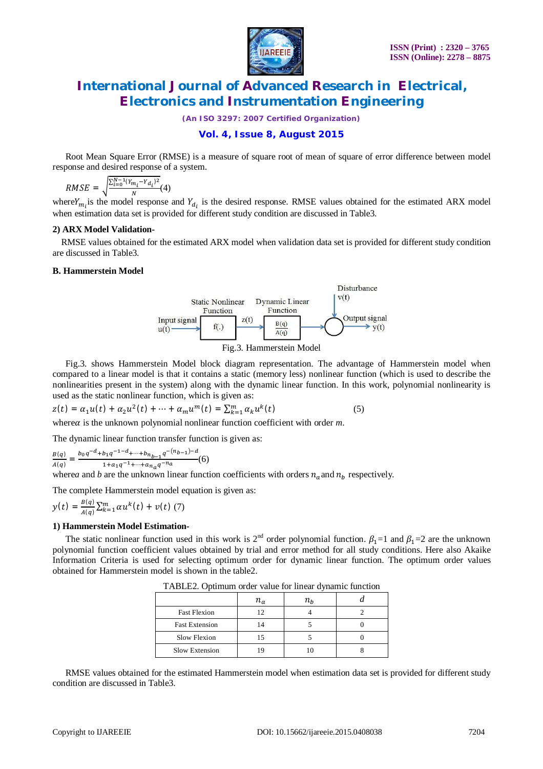

*(An ISO 3297: 2007 Certified Organization)*

### **Vol. 4, Issue 8, August 2015**

Root Mean Square Error (RMSE) is a measure of square root of mean of square of error difference between model response and desired response of a system.

$$
RMSE = \sqrt{\frac{\sum_{i=0}^{N-1} (Y_{m_i} - Y_{d_i})^2}{N}} (4)
$$

where  $Y_{m_i}$  is the model response and  $Y_{d_i}$  is the desired response. RMSE values obtained for the estimated ARX model when estimation data set is provided for different study condition are discussed in Table3.

#### **2) ARX Model Validation-**

 RMSE values obtained for the estimated ARX model when validation data set is provided for different study condition are discussed in Table3.

#### **B. Hammerstein Model**



Fig.3. shows Hammerstein Model block diagram representation. The advantage of Hammerstein model when compared to a linear model is that it contains a static (memory less) nonlinear function (which is used to describe the nonlinearities present in the system) along with the dynamic linear function. In this work, polynomial nonlinearity is used as the static nonlinear function, which is given as:

$$
z(t) = \alpha_1 u(t) + \alpha_2 u^2(t) + \dots + \alpha_m u^m(t) = \sum_{k=1}^m \alpha_k u^k(t)
$$
 (5)  
where $\alpha$  is the unknown polynomial nonlinear function coefficient with order m.

The dynamic linear function transfer function is given as:

$$
\frac{B(q)}{A(q)} = \frac{b_0 q^{-d} + b_1 q^{-1-d} + \dots + b_{n_{b-1}} q^{-(n_{b-1})-d}}{1 + a_1 q^{-1} + \dots + a_{n_a} q^{-n_a}}(6)
$$

where*a* and *b* are the unknown linear function coefficients with orders  $n_a$  and  $n_b$  respectively.

The complete Hammerstein model equation is given as:

$$
y(t) = \frac{B(q)}{A(q)} \sum_{k=1}^{m} \alpha u^{k}(t) + v(t) (7)
$$

#### **1) Hammerstein Model Estimation-**

The static nonlinear function used in this work is  $2^{nd}$  order polynomial function.  $\beta_1=1$  and  $\beta_1=2$  are the unknown polynomial function coefficient values obtained by trial and error method for all study conditions. Here also Akaike Information Criteria is used for selecting optimum order for dynamic linear function. The optimum order values obtained for Hammerstein model is shown in the table2.

|                       | $n_{a}$ | $n_{h}$ |  |
|-----------------------|---------|---------|--|
| <b>Fast Flexion</b>   | 12      |         |  |
| <b>Fast Extension</b> |         |         |  |
| Slow Flexion          |         |         |  |
| Slow Extension        |         |         |  |

TABLE2. Optimum order value for linear dynamic function

RMSE values obtained for the estimated Hammerstein model when estimation data set is provided for different study condition are discussed in Table3.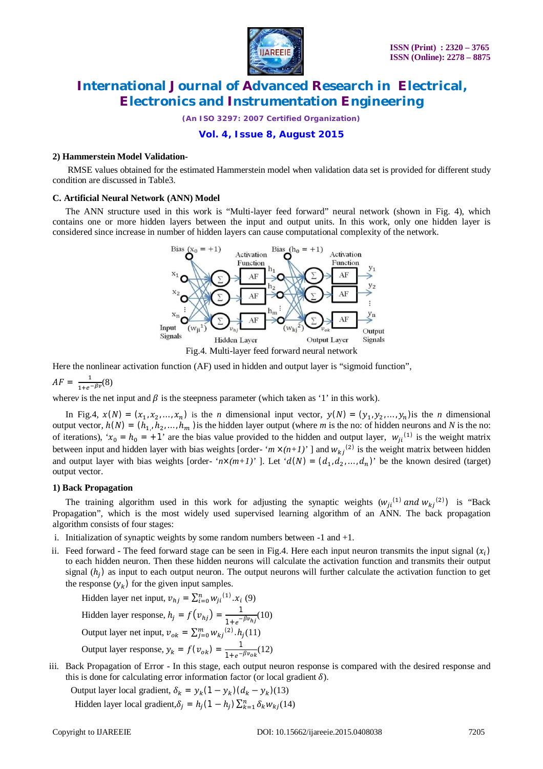

*(An ISO 3297: 2007 Certified Organization)*

### **Vol. 4, Issue 8, August 2015**

#### **2) Hammerstein Model Validation-**

RMSE values obtained for the estimated Hammerstein model when validation data set is provided for different study condition are discussed in Table3.

#### **C. Artificial Neural Network (ANN) Model**

The ANN structure used in this work is "Multi-layer feed forward" neural network (shown in Fig. 4), which contains one or more hidden layers between the input and output units. In this work, only one hidden layer is considered since increase in number of hidden layers can cause computational complexity of the network.



Here the nonlinear activation function (AF) used in hidden and output layer is "sigmoid function",

 $AF = \frac{1}{1 + e^{-\beta v}}(8)$ 

where*v* is the net input and  $\beta$  is the steepness parameter (which taken as '1' in this work).

In Fig.4,  $x(N) = (x_1, x_2, ..., x_n)$  is the *n* dimensional input vector,  $y(N) = (y_1, y_2, ..., y_n)$  is the *n* dimensional output vector,  $h(N) = (h_{1,1}, h_2, \ldots, h_m)$  is the hidden layer output (where *m* is the no: of hidden neurons and *N* is the no: of iterations), ' $x_0 = h_0 = +1$ ' are the bias value provided to the hidden and output layer,  $w_{ji}^{(1)}$  is the weight matrix between input and hidden layer with bias weights [order- ' $m \times (n+1)$ ' ] and  $w_{kj}^{(2)}$  is the weight matrix between hidden and output layer with bias weights [order- ' $n \times (m+1)$ ' ]. Let ' $d(N) = (d_1, d_2, ..., d_n)$ ' be the known desired (target) output vector.

#### **1) Back Propagation**

The training algorithm used in this work for adjusting the synaptic weights  $(w_{ji}^{(1)}$  and  $w_{kj}^{(2)})$  is "Back Propagation", which is the most widely used supervised learning algorithm of an ANN. The back propagation algorithm consists of four stages:

- i. Initialization of synaptic weights by some random numbers between -1 and +1.
- ii. Feed forward The feed forward stage can be seen in Fig.4. Here each input neuron transmits the input signal  $(x_i)$ to each hidden neuron. Then these hidden neurons will calculate the activation function and transmits their output signal  $(h_j)$  as input to each output neuron. The output neurons will further calculate the activation function to get the response  $(y_k)$  for the given input samples.

Hidden layer net input, 
$$
v_{hj} = \sum_{i=0}^{n} w_{ji}^{(1)} \cdot x_i
$$
 (9)  
Hidden layer response,  $h_j = f(v_{hj}) = \frac{1}{1 + e^{-\beta v_{hj}}}$ (10)  
Output layer net input,  $v_{ok} = \sum_{j=0}^{m} w_{kj}^{(2)} \cdot h_j$ (11)  
Output layer response,  $y_k = f(v_{ok}) = \frac{1}{1 + e^{-\beta v_{ok}}}$ (12)

iii. Back Propagation of Error - In this stage, each output neuron response is compared with the desired response and this is done for calculating error information factor (or local gradient  $\delta$ ).

Output layer local gradient,  $\delta_k = y_k(1 - y_k)(d_k - y_k)(13)$ Hidden layer local gradient, $\delta_j = h_j(1 - h_j) \sum_{k=1}^n \delta_k w_{kj}(14)$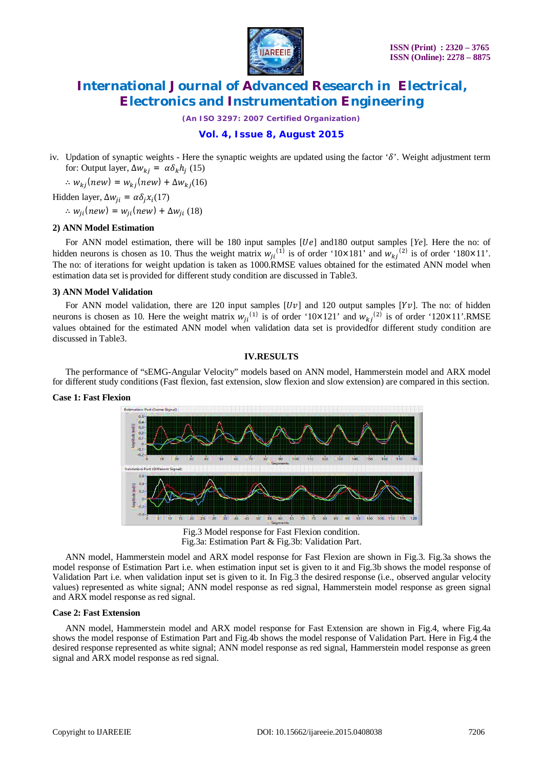

*(An ISO 3297: 2007 Certified Organization)*

### **Vol. 4, Issue 8, August 2015**

iv. Updation of synaptic weights - Here the synaptic weights are updated using the factor ' $\delta$ '. Weight adjustment term for: Output layer,  $\Delta w_{kj} = \alpha \delta_k h_j$  (15)

 $\therefore w_{kj}(new) = w_{kj}(new) + \Delta w_{kj}(16)$ 

Hidden layer,  $\Delta w_{ji} = \alpha \delta_j x_i(17)$ 

 $\therefore w_{ii}(new) = w_{ii}(new) + \Delta w_{ii}$  (18)

#### **2) ANN Model Estimation**

For ANN model estimation, there will be 180 input samples [*Ue*] and180 output samples [*Ye*]. Here the no: of hidden neurons is chosen as 10. Thus the weight matrix  $w_{ji}^{(1)}$  is of order '10×181' and  $w_{kj}^{(2)}$  is of order '180×11'. The no: of iterations for weight updation is taken as 1000.RMSE values obtained for the estimated ANN model when estimation data set is provided for different study condition are discussed in Table3.

#### **3) ANN Model Validation**

For ANN model validation, there are 120 input samples  $[Up]$  and 120 output samples  $[Yv]$ . The no: of hidden neurons is chosen as 10. Here the weight matrix  $w_{ji}^{(1)}$  is of order '10×121' and  $w_{kj}^{(2)}$  is of order '120×11'.RMSE values obtained for the estimated ANN model when validation data set is providedfor different study condition are discussed in Table3.

#### **IV.RESULTS**

The performance of "sEMG-Angular Velocity" models based on ANN model, Hammerstein model and ARX model for different study conditions (Fast flexion, fast extension, slow flexion and slow extension) are compared in this section.

#### **Case 1: Fast Flexion**



Fig.3 Model response for Fast Flexion condition. Fig.3a: Estimation Part & Fig.3b: Validation Part.

ANN model, Hammerstein model and ARX model response for Fast Flexion are shown in Fig.3. Fig.3a shows the model response of Estimation Part i.e. when estimation input set is given to it and Fig.3b shows the model response of Validation Part i.e. when validation input set is given to it. In Fig.3 the desired response (i.e., observed angular velocity values) represented as white signal; ANN model response as red signal, Hammerstein model response as green signal and ARX model response as red signal.

#### **Case 2: Fast Extension**

ANN model, Hammerstein model and ARX model response for Fast Extension are shown in Fig.4, where Fig.4a shows the model response of Estimation Part and Fig.4b shows the model response of Validation Part. Here in Fig.4 the desired response represented as white signal; ANN model response as red signal, Hammerstein model response as green signal and ARX model response as red signal.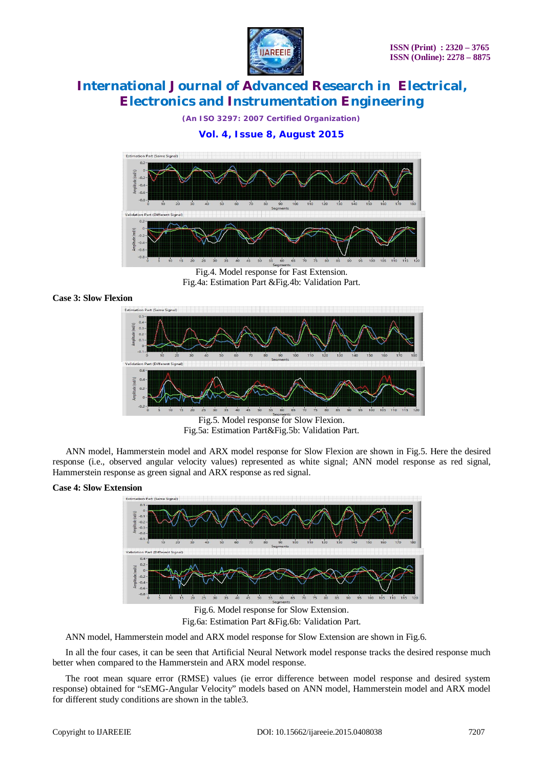

*(An ISO 3297: 2007 Certified Organization)*

### **Vol. 4, Issue 8, August 2015**



Fig.4. Model response for Fast Extension. Fig.4a: Estimation Part &Fig.4b: Validation Part.

#### **Case 3: Slow Flexion**



Fig.5a: Estimation Part&Fig.5b: Validation Part.

 ANN model, Hammerstein model and ARX model response for Slow Flexion are shown in Fig.5. Here the desired response (i.e., observed angular velocity values) represented as white signal; ANN model response as red signal, Hammerstein response as green signal and ARX response as red signal.

### **Case 4: Slow Extension**



Fig.6a: Estimation Part &Fig.6b: Validation Part.

ANN model, Hammerstein model and ARX model response for Slow Extension are shown in Fig.6.

In all the four cases, it can be seen that Artificial Neural Network model response tracks the desired response much better when compared to the Hammerstein and ARX model response.

The root mean square error (RMSE) values (ie error difference between model response and desired system response) obtained for "sEMG-Angular Velocity" models based on ANN model, Hammerstein model and ARX model for different study conditions are shown in the table3.